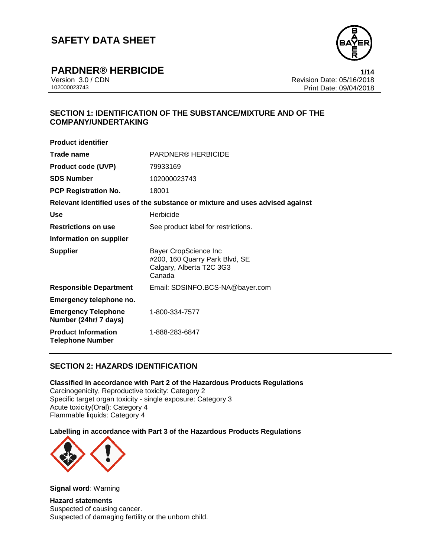

**PARDNER® HERBICIDE** 

Version 3.0 / CDN Revision Date: 05/16/2018 Print Date: 09/04/2018  $1/14$ 

## **SECTION 1: IDENTIFICATION OF THE SUBSTANCE/MIXTURE AND OF THE COMPANY/UNDERTAKING**

| <b>Product identifier</b>                             |                                                                                                      |
|-------------------------------------------------------|------------------------------------------------------------------------------------------------------|
| Trade name                                            | PARDNER® HERBICIDE                                                                                   |
| <b>Product code (UVP)</b>                             | 79933169                                                                                             |
| <b>SDS Number</b>                                     | 102000023743                                                                                         |
| <b>PCP Registration No.</b>                           | 18001                                                                                                |
|                                                       | Relevant identified uses of the substance or mixture and uses advised against                        |
| Use                                                   | Herbicide                                                                                            |
| <b>Restrictions on use</b>                            | See product label for restrictions.                                                                  |
| Information on supplier                               |                                                                                                      |
| <b>Supplier</b>                                       | <b>Bayer CropScience Inc</b><br>#200, 160 Quarry Park Blvd, SE<br>Calgary, Alberta T2C 3G3<br>Canada |
| <b>Responsible Department</b>                         | Email: SDSINFO.BCS-NA@bayer.com                                                                      |
| Emergency telephone no.                               |                                                                                                      |
| <b>Emergency Telephone</b><br>Number (24hr/ 7 days)   | 1-800-334-7577                                                                                       |
| <b>Product Information</b><br><b>Telephone Number</b> | 1-888-283-6847                                                                                       |

## **SECTION 2: HAZARDS IDENTIFICATION**

**Classified in accordance with Part 2 of the Hazardous Products Regulations** Carcinogenicity, Reproductive toxicity: Category 2 Specific target organ toxicity - single exposure: Category 3 Acute toxicity(Oral): Category 4 Flammable liquids: Category 4

**Labelling in accordance with Part 3 of the Hazardous Products Regulations**



**Signal word**: Warning

**Hazard statements** Suspected of causing cancer. Suspected of damaging fertility or the unborn child.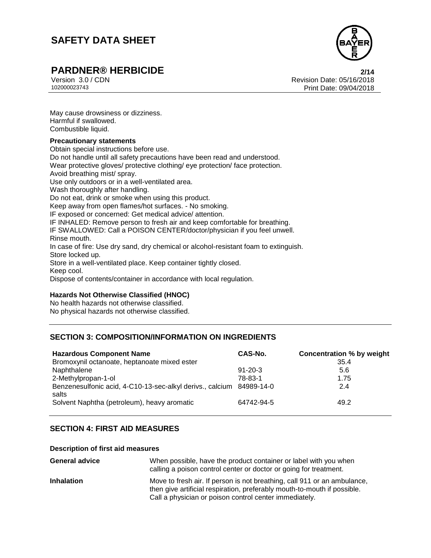

# **PARDNER® HERBICIDE 2/14**

Version 3.0 / CDN Revision Date: 05/16/2018 Print Date: 09/04/2018  $2/14$ 

May cause drowsiness or dizziness. Harmful if swallowed. Combustible liquid.

#### **Precautionary statements**

Obtain special instructions before use. Do not handle until all safety precautions have been read and understood. Wear protective gloves/ protective clothing/ eye protection/ face protection. Avoid breathing mist/ spray. Use only outdoors or in a well-ventilated area. Wash thoroughly after handling. Do not eat, drink or smoke when using this product. Keep away from open flames/hot surfaces. - No smoking. IF exposed or concerned: Get medical advice/ attention. IF INHALED: Remove person to fresh air and keep comfortable for breathing. IF SWALLOWED: Call a POISON CENTER/doctor/physician if you feel unwell. Rinse mouth. In case of fire: Use dry sand, dry chemical or alcohol-resistant foam to extinguish. Store locked up. Store in a well-ventilated place. Keep container tightly closed. Keep cool. Dispose of contents/container in accordance with local regulation.

#### **Hazards Not Otherwise Classified (HNOC)**

No health hazards not otherwise classified. No physical hazards not otherwise classified.

## **SECTION 3: COMPOSITION/INFORMATION ON INGREDIENTS**

| <b>Hazardous Component Name</b><br>Bromoxynil octanoate, heptanoate mixed ester | CAS-No.       | <b>Concentration % by weight</b><br>35.4 |
|---------------------------------------------------------------------------------|---------------|------------------------------------------|
| Naphthalene                                                                     | $91 - 20 - 3$ | 5.6                                      |
| 2-Methylpropan-1-ol                                                             | 78-83-1       | 1.75                                     |
| Benzenesulfonic acid, 4-C10-13-sec-alkyl derivs., calcium 84989-14-0<br>salts   |               | 2.4                                      |
| Solvent Naphtha (petroleum), heavy aromatic                                     | 64742-94-5    | 49.2                                     |

## **SECTION 4: FIRST AID MEASURES**

#### **Description of first aid measures**

| <b>General advice</b> | When possible, have the product container or label with you when<br>calling a poison control center or doctor or going for treatment.                                                                          |
|-----------------------|----------------------------------------------------------------------------------------------------------------------------------------------------------------------------------------------------------------|
| <b>Inhalation</b>     | Move to fresh air. If person is not breathing, call 911 or an ambulance,<br>then give artificial respiration, preferably mouth-to-mouth if possible.<br>Call a physician or poison control center immediately. |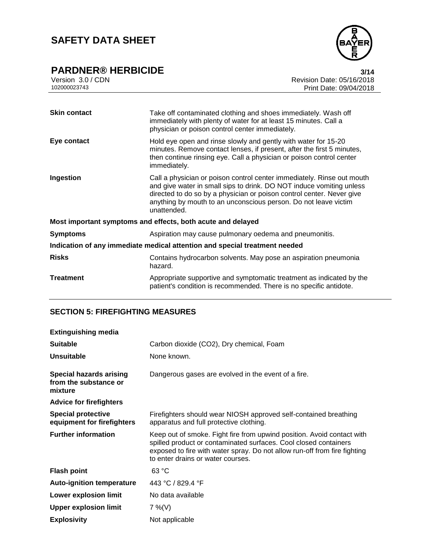# **PARDNER® HERBICIDE** Version 3.0 / CDN



Version 3.0 / CDN<br>102000023743<br>Print Date: 09/04/2018 Print Date: 09/04/2018  $3/14$ 

| <b>Skin contact</b>                                                        | Take off contaminated clothing and shoes immediately. Wash off<br>immediately with plenty of water for at least 15 minutes. Call a<br>physician or poison control center immediately.                                                                                                                     |  |
|----------------------------------------------------------------------------|-----------------------------------------------------------------------------------------------------------------------------------------------------------------------------------------------------------------------------------------------------------------------------------------------------------|--|
| Eye contact                                                                | Hold eye open and rinse slowly and gently with water for 15-20<br>minutes. Remove contact lenses, if present, after the first 5 minutes,<br>then continue rinsing eye. Call a physician or poison control center<br>immediately.                                                                          |  |
| Ingestion                                                                  | Call a physician or poison control center immediately. Rinse out mouth<br>and give water in small sips to drink. DO NOT induce vomiting unless<br>directed to do so by a physician or poison control center. Never give<br>anything by mouth to an unconscious person. Do not leave victim<br>unattended. |  |
| Most important symptoms and effects, both acute and delayed                |                                                                                                                                                                                                                                                                                                           |  |
| <b>Symptoms</b>                                                            | Aspiration may cause pulmonary oedema and pneumonitis.                                                                                                                                                                                                                                                    |  |
| Indication of any immediate medical attention and special treatment needed |                                                                                                                                                                                                                                                                                                           |  |
| <b>Risks</b>                                                               | Contains hydrocarbon solvents. May pose an aspiration pneumonia<br>hazard.                                                                                                                                                                                                                                |  |
| <b>Treatment</b>                                                           | Appropriate supportive and symptomatic treatment as indicated by the<br>patient's condition is recommended. There is no specific antidote.                                                                                                                                                                |  |

## **SECTION 5: FIREFIGHTING MEASURES**

| <b>Extinguishing media</b>                                         |                                                                                                                                                                                                                                                              |
|--------------------------------------------------------------------|--------------------------------------------------------------------------------------------------------------------------------------------------------------------------------------------------------------------------------------------------------------|
| <b>Suitable</b>                                                    | Carbon dioxide (CO2), Dry chemical, Foam                                                                                                                                                                                                                     |
| Unsuitable                                                         | None known.                                                                                                                                                                                                                                                  |
| <b>Special hazards arising</b><br>from the substance or<br>mixture | Dangerous gases are evolved in the event of a fire.                                                                                                                                                                                                          |
| <b>Advice for firefighters</b>                                     |                                                                                                                                                                                                                                                              |
| <b>Special protective</b><br>equipment for firefighters            | Firefighters should wear NIOSH approved self-contained breathing<br>apparatus and full protective clothing.                                                                                                                                                  |
| <b>Further information</b>                                         | Keep out of smoke. Fight fire from upwind position. Avoid contact with<br>spilled product or contaminated surfaces. Cool closed containers<br>exposed to fire with water spray. Do not allow run-off from fire fighting<br>to enter drains or water courses. |
| <b>Flash point</b>                                                 | 63 °C                                                                                                                                                                                                                                                        |
| <b>Auto-ignition temperature</b>                                   | 443 °C / 829.4 °F                                                                                                                                                                                                                                            |
| Lower explosion limit                                              | No data available                                                                                                                                                                                                                                            |
| <b>Upper explosion limit</b>                                       | $7\%$ (V)                                                                                                                                                                                                                                                    |
| <b>Explosivity</b>                                                 | Not applicable                                                                                                                                                                                                                                               |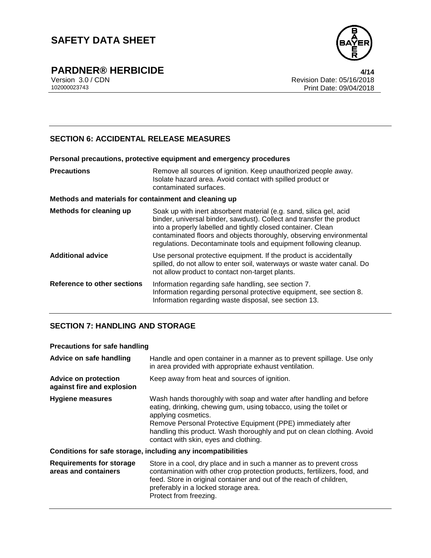

**PARDNER® HERBICIDE** Version 3.0 / CDN

## **SECTION 6: ACCIDENTAL RELEASE MEASURES**

|                                                       | Personal precautions, protective equipment and emergency procedures                                                                                                                                                                                                                                                                                    |  |
|-------------------------------------------------------|--------------------------------------------------------------------------------------------------------------------------------------------------------------------------------------------------------------------------------------------------------------------------------------------------------------------------------------------------------|--|
| <b>Precautions</b>                                    | Remove all sources of ignition. Keep unauthorized people away.<br>Isolate hazard area. Avoid contact with spilled product or<br>contaminated surfaces.                                                                                                                                                                                                 |  |
| Methods and materials for containment and cleaning up |                                                                                                                                                                                                                                                                                                                                                        |  |
| <b>Methods for cleaning up</b>                        | Soak up with inert absorbent material (e.g. sand, silica gel, acid<br>binder, universal binder, sawdust). Collect and transfer the product<br>into a properly labelled and tightly closed container. Clean<br>contaminated floors and objects thoroughly, observing environmental<br>regulations. Decontaminate tools and equipment following cleanup. |  |
| <b>Additional advice</b>                              | Use personal protective equipment. If the product is accidentally<br>spilled, do not allow to enter soil, waterways or waste water canal. Do<br>not allow product to contact non-target plants.                                                                                                                                                        |  |
| Reference to other sections                           | Information regarding safe handling, see section 7.<br>Information regarding personal protective equipment, see section 8.<br>Information regarding waste disposal, see section 13.                                                                                                                                                                    |  |

## **SECTION 7: HANDLING AND STORAGE**

#### **Precautions for safe handling**

| Advice on safe handling                                   | Handle and open container in a manner as to prevent spillage. Use only<br>in area provided with appropriate exhaust ventilation.                                                                                                                                                                                                                    |
|-----------------------------------------------------------|-----------------------------------------------------------------------------------------------------------------------------------------------------------------------------------------------------------------------------------------------------------------------------------------------------------------------------------------------------|
| <b>Advice on protection</b><br>against fire and explosion | Keep away from heat and sources of ignition.                                                                                                                                                                                                                                                                                                        |
| Hygiene measures                                          | Wash hands thoroughly with soap and water after handling and before<br>eating, drinking, chewing gum, using tobacco, using the toilet or<br>applying cosmetics.<br>Remove Personal Protective Equipment (PPE) immediately after<br>handling this product. Wash thoroughly and put on clean clothing. Avoid<br>contact with skin, eyes and clothing. |
|                                                           | Conditions for safe storage, including any incompatibilities                                                                                                                                                                                                                                                                                        |
| <b>Requirements for storage</b><br>areas and containers   | Store in a cool, dry place and in such a manner as to prevent cross<br>contamination with other crop protection products, fertilizers, food, and<br>feed. Store in original container and out of the reach of children,<br>preferably in a locked storage area.<br>Protect from freezing.                                                           |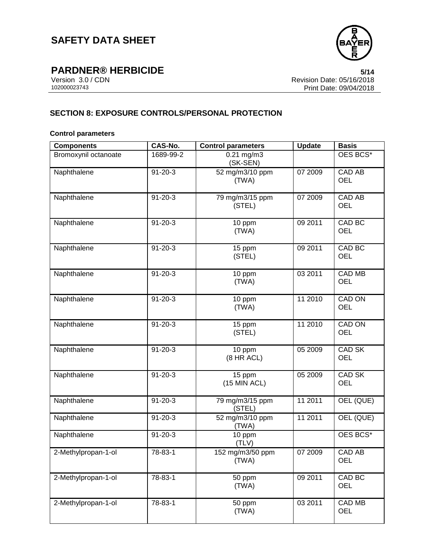

**PARDNER® HERBICIDE** Version 3.0 / CDN

Version 3.0 / CDN<br>102000023743<br>Print Date: 09/04/2018 Print Date: 09/04/2018  $5/14$ 

## **SECTION 8: EXPOSURE CONTROLS/PERSONAL PROTECTION**

#### **Control parameters**

| <b>Components</b>    | <b>CAS-No.</b> | <b>Control parameters</b>   | <b>Update</b> | <b>Basis</b>                |
|----------------------|----------------|-----------------------------|---------------|-----------------------------|
| Bromoxynil octanoate | 1689-99-2      | $0.21$ mg/m $3$<br>(SK-SEN) |               | OES BCS*                    |
| Naphthalene          | $91 - 20 - 3$  | 52 mg/m3/10 ppm<br>(TWA)    | 07 2009       | <b>CAD AB</b><br><b>OEL</b> |
| Naphthalene          | $91 - 20 - 3$  | 79 mg/m3/15 ppm<br>(STEL)   | 07 2009       | <b>CAD AB</b><br><b>OEL</b> |
| Naphthalene          | $91 - 20 - 3$  | 10 ppm<br>(TWA)             | 09 2011       | CAD BC<br><b>OEL</b>        |
| Naphthalene          | $91 - 20 - 3$  | 15 ppm<br>(STEL)            | 09 2011       | CAD BC<br><b>OEL</b>        |
| Naphthalene          | $91 - 20 - 3$  | 10 ppm<br>(TWA)             | 03 2011       | <b>CAD MB</b><br><b>OEL</b> |
| Naphthalene          | $91 - 20 - 3$  | 10 ppm<br>(TWA)             | 11 2010       | CAD ON<br><b>OEL</b>        |
| Naphthalene          | $91 - 20 - 3$  | 15 ppm<br>(STEL)            | 11 2010       | CAD ON<br><b>OEL</b>        |
| Naphthalene          | $91 - 20 - 3$  | 10 ppm<br>(8 HR ACL)        | 05 2009       | CAD SK<br><b>OEL</b>        |
| Naphthalene          | $91 - 20 - 3$  | 15 ppm<br>(15 MIN ACL)      | 05 2009       | CAD SK<br><b>OEL</b>        |
| Naphthalene          | $91 - 20 - 3$  | 79 mg/m3/15 ppm<br>(STEL)   | 11 2011       | OEL (QUE)                   |
| Naphthalene          | $91 - 20 - 3$  | 52 mg/m3/10 ppm<br>(TWA)    | 11 2011       | OEL (QUE)                   |
| Naphthalene          | $91 - 20 - 3$  | 10 ppm<br>(TLV)             |               | OES BCS*                    |
| 2-Methylpropan-1-ol  | 78-83-1        | 152 mg/m3/50 ppm<br>(TWA)   | 07 2009       | CAD AB<br>OEL               |
| 2-Methylpropan-1-ol  | 78-83-1        | 50 ppm<br>(TWA)             | 09 2011       | CAD BC<br><b>OEL</b>        |
| 2-Methylpropan-1-ol  | 78-83-1        | 50 ppm<br>(TWA)             | 03 2011       | <b>CAD MB</b><br>OEL        |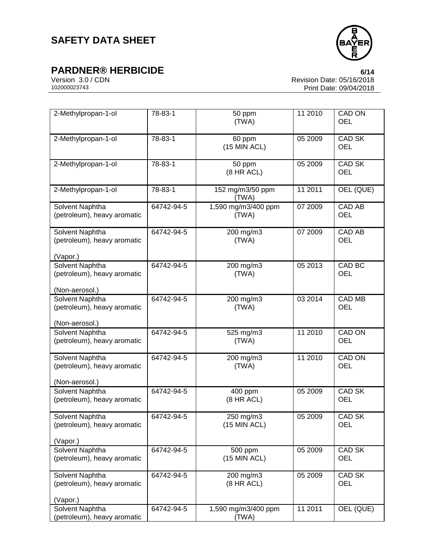**PARDNER® HERBICIDE** Version 3.0/CDN



Version 3.0 / CDN<br>102000023743<br>Print Date: 09/04/2018 Print Date: 09/04/2018 6/14

| 2-Methylpropan-1-ol                                              | 78-83-1    | 50 ppm<br>(TWA)              | 11 2010 | CAD ON<br><b>OEL</b>        |
|------------------------------------------------------------------|------------|------------------------------|---------|-----------------------------|
| 2-Methylpropan-1-ol                                              | 78-83-1    | 60 ppm<br>(15 MIN ACL)       | 052009  | <b>CAD SK</b><br><b>OEL</b> |
| 2-Methylpropan-1-ol                                              | 78-83-1    | 50 ppm<br>(8 HR ACL)         | 05 2009 | CAD SK<br><b>OEL</b>        |
| 2-Methylpropan-1-ol                                              | 78-83-1    | 152 mg/m3/50 ppm<br>(TWA)    | 11 2011 | OEL (QUE)                   |
| Solvent Naphtha<br>(petroleum), heavy aromatic                   | 64742-94-5 | 1,590 mg/m3/400 ppm<br>(TWA) | 07 2009 | <b>CAD AB</b><br><b>OEL</b> |
| Solvent Naphtha<br>(petroleum), heavy aromatic<br>(Vapor.)       | 64742-94-5 | 200 mg/m3<br>(TWA)           | 07 2009 | <b>CAD AB</b><br><b>OEL</b> |
| Solvent Naphtha<br>(petroleum), heavy aromatic<br>(Non-aerosol.) | 64742-94-5 | 200 mg/m3<br>(TWA)           | 05 2013 | CAD BC<br><b>OEL</b>        |
| Solvent Naphtha<br>(petroleum), heavy aromatic<br>(Non-aerosol.) | 64742-94-5 | 200 mg/m3<br>(TWA)           | 03 2014 | <b>CAD MB</b><br><b>OEL</b> |
| Solvent Naphtha<br>(petroleum), heavy aromatic                   | 64742-94-5 | 525 mg/m3<br>(TWA)           | 11 2010 | <b>CAD ON</b><br><b>OEL</b> |
| Solvent Naphtha<br>(petroleum), heavy aromatic<br>(Non-aerosol.) | 64742-94-5 | 200 mg/m3<br>(TWA)           | 11 2010 | <b>CAD ON</b><br><b>OEL</b> |
| Solvent Naphtha<br>(petroleum), heavy aromatic                   | 64742-94-5 | 400 ppm<br>(8 HR ACL)        | 05 2009 | CAD SK<br><b>OEL</b>        |
| Solvent Naphtha<br>(petroleum), heavy aromatic<br>(Vapor.)       | 64742-94-5 | 250 mg/m3<br>$(15$ MIN ACL)  | 05 2009 | <b>CAD SK</b><br><b>OEL</b> |
| <b>Solvent Naphtha</b><br>(petroleum), heavy aromatic            | 64742-94-5 | 500 ppm<br>(15 MIN ACL)      | 05 2009 | <b>CAD SK</b><br><b>OEL</b> |
| Solvent Naphtha<br>(petroleum), heavy aromatic<br>(Vapor.)       | 64742-94-5 | 200 mg/m3<br>(8 HR ACL)      | 05 2009 | <b>CAD SK</b><br><b>OEL</b> |
| Solvent Naphtha                                                  | 64742-94-5 | 1,590 mg/m3/400 ppm          | 11 2011 | OEL (QUE)                   |
| (petroleum), heavy aromatic                                      |            | (TWA)                        |         |                             |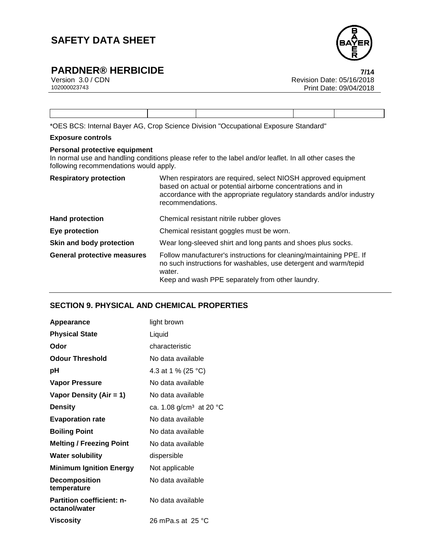

# **PARDNER® HERBICIDE**<br>Version 3.0/CDN

Version 3.0 / CDN<br>102000023743<br>Print Date: 09/04/2018 Print Date: 09/04/2018  $7/14$ 

\*OES BCS: Internal Bayer AG, Crop Science Division "Occupational Exposure Standard"

#### **Exposure controls**

#### **Personal protective equipment**

In normal use and handling conditions please refer to the label and/or leaflet. In all other cases the following recommendations would apply.

| <b>Respiratory protection</b>      | When respirators are required, select NIOSH approved equipment<br>based on actual or potential airborne concentrations and in<br>accordance with the appropriate regulatory standards and/or industry<br>recommendations. |
|------------------------------------|---------------------------------------------------------------------------------------------------------------------------------------------------------------------------------------------------------------------------|
| <b>Hand protection</b>             | Chemical resistant nitrile rubber gloves                                                                                                                                                                                  |
| Eye protection                     | Chemical resistant goggles must be worn.                                                                                                                                                                                  |
| Skin and body protection           | Wear long-sleeved shirt and long pants and shoes plus socks.                                                                                                                                                              |
| <b>General protective measures</b> | Follow manufacturer's instructions for cleaning/maintaining PPE. If<br>no such instructions for washables, use detergent and warm/tepid<br>water.<br>Keep and wash PPE separately from other laundry.                     |

### **SECTION 9. PHYSICAL AND CHEMICAL PROPERTIES**

| <b>Appearance</b>                                 | light brown                         |
|---------------------------------------------------|-------------------------------------|
| <b>Physical State</b>                             | Liquid                              |
| Odor                                              | characteristic                      |
| <b>Odour Threshold</b>                            | No data available                   |
| рH                                                | 4.3 at 1 % (25 °C)                  |
| <b>Vapor Pressure</b>                             | No data available                   |
| Vapor Density (Air = 1)                           | No data available                   |
| <b>Density</b>                                    | ca. 1.08 g/cm <sup>3</sup> at 20 °C |
| <b>Evaporation rate</b>                           | No data available                   |
| <b>Boiling Point</b>                              | No data available                   |
| <b>Melting / Freezing Point</b>                   | No data available                   |
| <b>Water solubility</b>                           | dispersible                         |
| <b>Minimum Ignition Energy</b>                    | Not applicable                      |
| <b>Decomposition</b><br>temperature               | No data available                   |
| <b>Partition coefficient: n-</b><br>octanol/water | No data available                   |
| Viscosity                                         | 26 mPa.s at $25 \text{ °C}$         |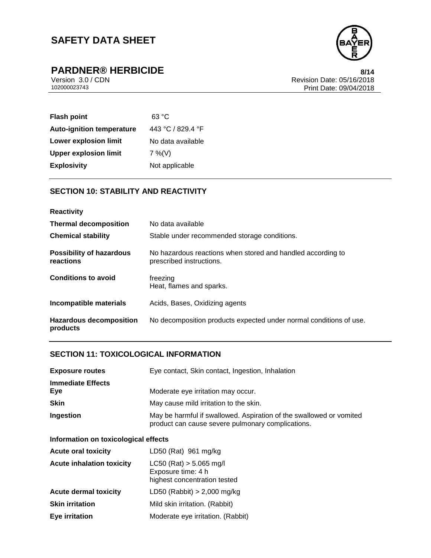

# **PARDNER® HERBICIDE** Version 3.0 / CDN

Version 3.0 / CDN<br>102000023743<br>Print Date: 09/04/2018 Print Date: 09/04/2018 8/14

| <b>Flash point</b>               | 63 °C             |
|----------------------------------|-------------------|
| <b>Auto-ignition temperature</b> | 443 °C / 829.4 °F |
| <b>Lower explosion limit</b>     | No data available |
| <b>Upper explosion limit</b>     | $7\%$ (V)         |
| <b>Explosivity</b>               | Not applicable    |

## **SECTION 10: STABILITY AND REACTIVITY**

| <b>Reactivity</b>                            |                                                                                         |
|----------------------------------------------|-----------------------------------------------------------------------------------------|
| <b>Thermal decomposition</b>                 | No data available                                                                       |
| <b>Chemical stability</b>                    | Stable under recommended storage conditions.                                            |
| <b>Possibility of hazardous</b><br>reactions | No hazardous reactions when stored and handled according to<br>prescribed instructions. |
| <b>Conditions to avoid</b>                   | freezing<br>Heat, flames and sparks.                                                    |
| Incompatible materials                       | Acids, Bases, Oxidizing agents                                                          |
| <b>Hazardous decomposition</b><br>products   | No decomposition products expected under normal conditions of use.                      |

## **SECTION 11: TOXICOLOGICAL INFORMATION**

| <b>Exposure routes</b>          | Eye contact, Skin contact, Ingestion, Inhalation                                                                         |  |  |
|---------------------------------|--------------------------------------------------------------------------------------------------------------------------|--|--|
| <b>Immediate Effects</b><br>Eye | Moderate eye irritation may occur.                                                                                       |  |  |
| <b>Skin</b>                     | May cause mild irritation to the skin.                                                                                   |  |  |
| Ingestion                       | May be harmful if swallowed. Aspiration of the swallowed or vomited<br>product can cause severe pulmonary complications. |  |  |

## **Information on toxicological effects**

| <b>Acute oral toxicity</b>       | LD50 (Rat) 961 mg/kg                                                              |
|----------------------------------|-----------------------------------------------------------------------------------|
| <b>Acute inhalation toxicity</b> | $LC50$ (Rat) $> 5.065$ mg/l<br>Exposure time: 4 h<br>highest concentration tested |
| <b>Acute dermal toxicity</b>     | LD50 (Rabbit) $> 2,000$ mg/kg                                                     |
| <b>Skin irritation</b>           | Mild skin irritation. (Rabbit)                                                    |
| <b>Eye irritation</b>            | Moderate eye irritation. (Rabbit)                                                 |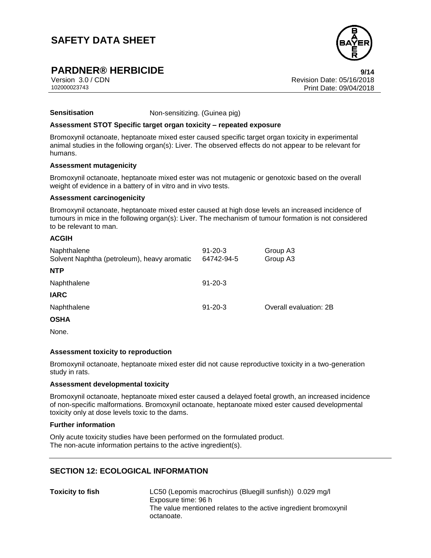

## **PARDNER® HERBICIDE 9/14**

Version 3.0 / CDN Revision Date: 05/16/2018 102000023743 Print Date: 09/04/2018 9/14

#### **Sensitisation** Non-sensitizing. (Guinea pig)

#### **Assessment STOT Specific target organ toxicity – repeated exposure**

Bromoxynil octanoate, heptanoate mixed ester caused specific target organ toxicity in experimental animal studies in the following organ(s): Liver. The observed effects do not appear to be relevant for humans.

#### **Assessment mutagenicity**

Bromoxynil octanoate, heptanoate mixed ester was not mutagenic or genotoxic based on the overall weight of evidence in a battery of in vitro and in vivo tests.

#### **Assessment carcinogenicity**

Bromoxynil octanoate, heptanoate mixed ester caused at high dose levels an increased incidence of tumours in mice in the following organ(s): Liver. The mechanism of tumour formation is not considered to be relevant to man.

#### **ACGIH**

| Naphthalene<br>Solvent Naphtha (petroleum), heavy aromatic | $91 - 20 - 3$<br>64742-94-5 | Group A3<br>Group A3   |
|------------------------------------------------------------|-----------------------------|------------------------|
| <b>NTP</b>                                                 |                             |                        |
| Naphthalene                                                | $91 - 20 - 3$               |                        |
| <b>IARC</b>                                                |                             |                        |
| Naphthalene                                                | $91 - 20 - 3$               | Overall evaluation: 2B |
| <b>OSHA</b>                                                |                             |                        |
| $\sim$ $\sim$                                              |                             |                        |

None.

#### **Assessment toxicity to reproduction**

Bromoxynil octanoate, heptanoate mixed ester did not cause reproductive toxicity in a two-generation study in rats.

#### **Assessment developmental toxicity**

Bromoxynil octanoate, heptanoate mixed ester caused a delayed foetal growth, an increased incidence of non-specific malformations. Bromoxynil octanoate, heptanoate mixed ester caused developmental toxicity only at dose levels toxic to the dams.

#### **Further information**

Only acute toxicity studies have been performed on the formulated product. The non-acute information pertains to the active ingredient(s).

#### **SECTION 12: ECOLOGICAL INFORMATION**

**Toxicity to fish** LC50 (Lepomis macrochirus (Bluegill sunfish)) 0.029 mg/l Exposure time: 96 h The value mentioned relates to the active ingredient bromoxynil octanoate.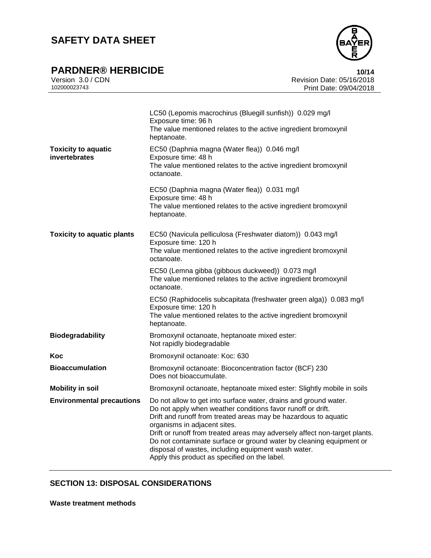

# **PARDNER® HERBICIDE**

|              | Version 3.0 / CDN |  |
|--------------|-------------------|--|
| 102000023743 |                   |  |

|                                             | LC50 (Lepomis macrochirus (Bluegill sunfish)) 0.029 mg/l<br>Exposure time: 96 h<br>The value mentioned relates to the active ingredient bromoxynil<br>heptanoate.                                                                                                                                                                                                                                                                                                                               |
|---------------------------------------------|-------------------------------------------------------------------------------------------------------------------------------------------------------------------------------------------------------------------------------------------------------------------------------------------------------------------------------------------------------------------------------------------------------------------------------------------------------------------------------------------------|
| <b>Toxicity to aquatic</b><br>invertebrates | EC50 (Daphnia magna (Water flea)) 0.046 mg/l<br>Exposure time: 48 h<br>The value mentioned relates to the active ingredient bromoxynil<br>octanoate.                                                                                                                                                                                                                                                                                                                                            |
|                                             | EC50 (Daphnia magna (Water flea)) 0.031 mg/l<br>Exposure time: 48 h<br>The value mentioned relates to the active ingredient bromoxynil<br>heptanoate.                                                                                                                                                                                                                                                                                                                                           |
| <b>Toxicity to aquatic plants</b>           | EC50 (Navicula pelliculosa (Freshwater diatom)) 0.043 mg/l<br>Exposure time: 120 h<br>The value mentioned relates to the active ingredient bromoxynil<br>octanoate.                                                                                                                                                                                                                                                                                                                             |
|                                             | EC50 (Lemna gibba (gibbous duckweed)) 0.073 mg/l<br>The value mentioned relates to the active ingredient bromoxynil<br>octanoate.                                                                                                                                                                                                                                                                                                                                                               |
|                                             | EC50 (Raphidocelis subcapitata (freshwater green alga)) 0.083 mg/l<br>Exposure time: 120 h<br>The value mentioned relates to the active ingredient bromoxynil<br>heptanoate.                                                                                                                                                                                                                                                                                                                    |
| <b>Biodegradability</b>                     | Bromoxynil octanoate, heptanoate mixed ester:<br>Not rapidly biodegradable                                                                                                                                                                                                                                                                                                                                                                                                                      |
| Koc                                         | Bromoxynil octanoate: Koc: 630                                                                                                                                                                                                                                                                                                                                                                                                                                                                  |
| <b>Bioaccumulation</b>                      | Bromoxynil octanoate: Bioconcentration factor (BCF) 230<br>Does not bioaccumulate.                                                                                                                                                                                                                                                                                                                                                                                                              |
| <b>Mobility in soil</b>                     | Bromoxynil octanoate, heptanoate mixed ester: Slightly mobile in soils                                                                                                                                                                                                                                                                                                                                                                                                                          |
| <b>Environmental precautions</b>            | Do not allow to get into surface water, drains and ground water.<br>Do not apply when weather conditions favor runoff or drift.<br>Drift and runoff from treated areas may be hazardous to aquatic<br>organisms in adjacent sites.<br>Drift or runoff from treated areas may adversely affect non-target plants.<br>Do not contaminate surface or ground water by cleaning equipment or<br>disposal of wastes, including equipment wash water.<br>Apply this product as specified on the label. |

## **SECTION 13: DISPOSAL CONSIDERATIONS**

**Waste treatment methods**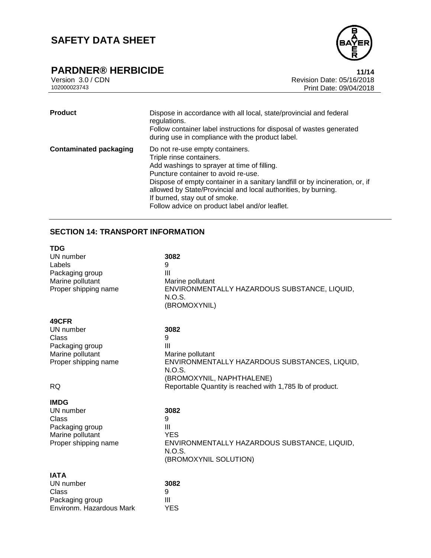

## **PARDNER® HERBICIDE**

|              | Version 3.0 / CDN |
|--------------|-------------------|
| 102000023743 |                   |

Revision Date: 05/16/2018 Print Date: 09/04/2018 Page 11/14

| <b>Product</b>                | Dispose in accordance with all local, state/provincial and federal<br>regulations.<br>Follow container label instructions for disposal of wastes generated<br>during use in compliance with the product label.                                                                                                                                                                         |
|-------------------------------|----------------------------------------------------------------------------------------------------------------------------------------------------------------------------------------------------------------------------------------------------------------------------------------------------------------------------------------------------------------------------------------|
| <b>Contaminated packaging</b> | Do not re-use empty containers.<br>Triple rinse containers.<br>Add washings to sprayer at time of filling.<br>Puncture container to avoid re-use.<br>Dispose of empty container in a sanitary landfill or by incineration, or, if<br>allowed by State/Provincial and local authorities, by burning.<br>If burned, stay out of smoke.<br>Follow advice on product label and/or leaflet. |

## **SECTION 14: TRANSPORT INFORMATION**

| TDG                                 |                                                                        |
|-------------------------------------|------------------------------------------------------------------------|
| UN number                           | 3082                                                                   |
| Labels                              | 9                                                                      |
| Packaging group                     | Ш                                                                      |
| Marine pollutant                    | Marine pollutant                                                       |
| Proper shipping name                | ENVIRONMENTALLY HAZARDOUS SUBSTANCE, LIQUID,<br>N.O.S.<br>(BROMOXYNIL) |
|                                     |                                                                        |
| 49CFR                               |                                                                        |
| UN number                           | 3082                                                                   |
| Class                               | 9<br>$\mathbf{III}$                                                    |
| Packaging group<br>Marine pollutant | Marine pollutant                                                       |
| Proper shipping name                | ENVIRONMENTALLY HAZARDOUS SUBSTANCES, LIQUID,                          |
|                                     | N.O.S.                                                                 |
|                                     | (BROMOXYNIL, NAPHTHALENE)                                              |
| RQ                                  | Reportable Quantity is reached with 1,785 lb of product.               |
| IMDG                                |                                                                        |
| UN number                           | 3082                                                                   |
| Class                               | 9                                                                      |
| Packaging group                     | Ш                                                                      |
| Marine pollutant                    | <b>YES</b>                                                             |
| Proper shipping name                | ENVIRONMENTALLY HAZARDOUS SUBSTANCE, LIQUID,                           |
|                                     | N.O.S.                                                                 |
|                                     | (BROMOXYNIL SOLUTION)                                                  |
| IATA                                |                                                                        |
| UN number                           | 3082                                                                   |
| Class                               | 9                                                                      |
| Packaging group                     | Ш                                                                      |
| Environm. Hazardous Mark            | <b>YES</b>                                                             |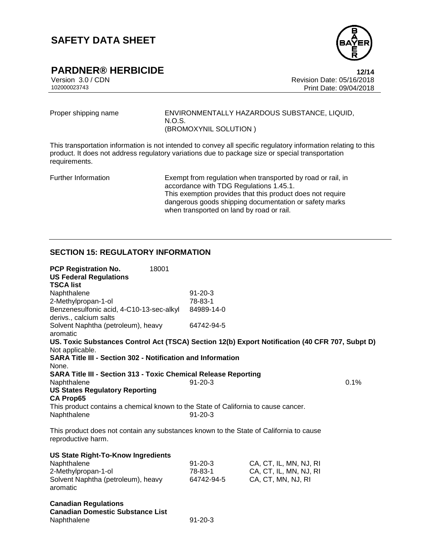

**PARDNER® HERBICIDE**<br>Version 3.0/CDN

Version 3.0 / CDN Revision Date: 05/16/2018 Print Date: 09/04/2018 12/14

Proper shipping name ENVIRONMENTALLY HAZARDOUS SUBSTANCE, LIQUID, N.O.S. (BROMOXYNIL SOLUTION )

This transportation information is not intended to convey all specific regulatory information relating to this product. It does not address regulatory variations due to package size or special transportation requirements.

Further Information Exempt from regulation when transported by road or rail, in accordance with TDG Regulations 1.45.1. This exemption provides that this product does not require dangerous goods shipping documentation or safety marks when transported on land by road or rail.

## **SECTION 15: REGULATORY INFORMATION**

| <b>PCP Registration No.</b><br><b>US Federal Regulations</b><br><b>TSCA list</b>                                   | 18001 |               |                        |      |
|--------------------------------------------------------------------------------------------------------------------|-------|---------------|------------------------|------|
| Naphthalene                                                                                                        |       | $91 - 20 - 3$ |                        |      |
| 2-Methylpropan-1-ol                                                                                                |       | 78-83-1       |                        |      |
| Benzenesulfonic acid, 4-C10-13-sec-alkyl<br>derivs., calcium salts                                                 |       | 84989-14-0    |                        |      |
| Solvent Naphtha (petroleum), heavy<br>aromatic                                                                     |       | 64742-94-5    |                        |      |
| US. Toxic Substances Control Act (TSCA) Section 12(b) Export Notification (40 CFR 707, Subpt D)<br>Not applicable. |       |               |                        |      |
| <b>SARA Title III - Section 302 - Notification and Information</b>                                                 |       |               |                        |      |
| None.                                                                                                              |       |               |                        |      |
| <b>SARA Title III - Section 313 - Toxic Chemical Release Reporting</b>                                             |       |               |                        |      |
| Naphthalene                                                                                                        |       | $91 - 20 - 3$ |                        | 0.1% |
| <b>US States Regulatory Reporting</b>                                                                              |       |               |                        |      |
| <b>CA Prop65</b>                                                                                                   |       |               |                        |      |
| This product contains a chemical known to the State of California to cause cancer.                                 |       |               |                        |      |
| Naphthalene                                                                                                        |       | $91 - 20 - 3$ |                        |      |
| This product does not contain any substances known to the State of California to cause<br>reproductive harm.       |       |               |                        |      |
|                                                                                                                    |       |               |                        |      |
| <b>US State Right-To-Know Ingredients</b>                                                                          |       |               |                        |      |
| Naphthalene                                                                                                        |       | $91 - 20 - 3$ | CA, CT, IL, MN, NJ, RI |      |
| 2-Methylpropan-1-ol                                                                                                |       | 78-83-1       | CA, CT, IL, MN, NJ, RI |      |
| Solvent Naphtha (petroleum), heavy<br>aromatic                                                                     |       | 64742-94-5    | CA, CT, MN, NJ, RI     |      |
| <b>Canadian Regulations</b>                                                                                        |       |               |                        |      |
| <b>Canadian Domestic Substance List</b>                                                                            |       |               |                        |      |
| Naphthalene                                                                                                        |       | $91 - 20 - 3$ |                        |      |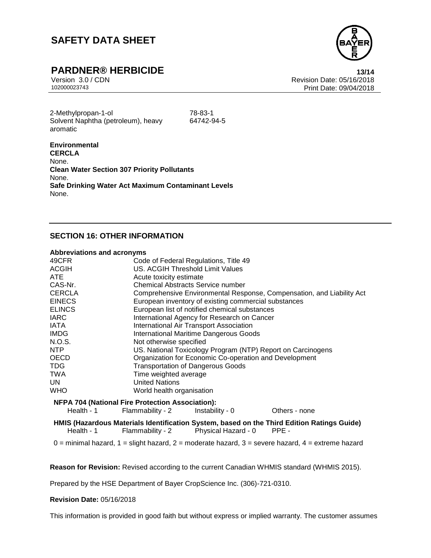

## **PARDNER® HERBICIDE**

Version 3.0 / CDN Revision Date: 05/16/2018 Print Date: 09/04/2018 Page 13/14

2-Methylpropan-1-ol 78-83-1 Solvent Naphtha (petroleum), heavy aromatic

64742-94-5

**Environmental CERCLA** None. **Clean Water Section 307 Priority Pollutants** None. **Safe Drinking Water Act Maximum Contaminant Levels** None.

#### **SECTION 16: OTHER INFORMATION**

#### **Abbreviations and acronyms**

| 49CFR         | Code of Federal Regulations, Title 49                                                      |               |  |
|---------------|--------------------------------------------------------------------------------------------|---------------|--|
| <b>ACGIH</b>  | US. ACGIH Threshold Limit Values                                                           |               |  |
| ATE.          | Acute toxicity estimate                                                                    |               |  |
| CAS-Nr.       | Chemical Abstracts Service number                                                          |               |  |
| <b>CERCLA</b> | Comprehensive Environmental Response, Compensation, and Liability Act                      |               |  |
| <b>EINECS</b> | European inventory of existing commercial substances                                       |               |  |
| <b>ELINCS</b> | European list of notified chemical substances                                              |               |  |
| IARC          | International Agency for Research on Cancer                                                |               |  |
| IATA          | <b>International Air Transport Association</b>                                             |               |  |
| <b>IMDG</b>   | <b>International Maritime Dangerous Goods</b>                                              |               |  |
| N.O.S.        | Not otherwise specified                                                                    |               |  |
| NTP           | US. National Toxicology Program (NTP) Report on Carcinogens                                |               |  |
| OECD          | Organization for Economic Co-operation and Development                                     |               |  |
| <b>TDG</b>    | <b>Transportation of Dangerous Goods</b>                                                   |               |  |
| <b>TWA</b>    | Time weighted average                                                                      |               |  |
| UN.           | <b>United Nations</b>                                                                      |               |  |
| WHO           | World health organisation                                                                  |               |  |
|               | <b>NFPA 704 (National Fire Protection Association):</b>                                    |               |  |
| Health - 1    | Flammability - 2<br>Instability - 0                                                        | Others - none |  |
|               | HMIS (Hazardous Materials Identification System, based on the Third Edition Ratings Guide) |               |  |

Health - 1 Flammability - 2 Physical Hazard - 0 PPE -

 $0 =$  minimal hazard,  $1 =$  slight hazard,  $2 =$  moderate hazard,  $3 =$  severe hazard,  $4 =$  extreme hazard

**Reason for Revision:** Revised according to the current Canadian WHMIS standard (WHMIS 2015).

Prepared by the HSE Department of Bayer CropScience Inc. (306)-721-0310.

#### **Revision Date:** 05/16/2018

This information is provided in good faith but without express or implied warranty. The customer assumes